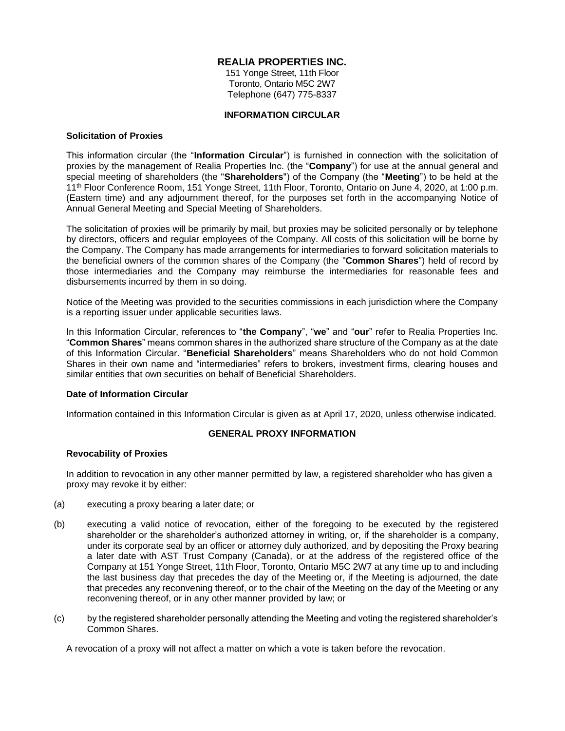## **REALIA PROPERTIES INC.**

151 Yonge Street, 11th Floor Toronto, Ontario M5C 2W7 Telephone (647) 775-8337

#### **INFORMATION CIRCULAR**

#### **Solicitation of Proxies**

This information circular (the "**Information Circular**") is furnished in connection with the solicitation of proxies by the management of Realia Properties Inc. (the "**Company**") for use at the annual general and special meeting of shareholders (the "**Shareholders**") of the Company (the "**Meeting**") to be held at the 11th Floor Conference Room, 151 Yonge Street, 11th Floor, Toronto, Ontario on June 4, 2020, at 1:00 p.m. (Eastern time) and any adjournment thereof, for the purposes set forth in the accompanying Notice of Annual General Meeting and Special Meeting of Shareholders.

The solicitation of proxies will be primarily by mail, but proxies may be solicited personally or by telephone by directors, officers and regular employees of the Company. All costs of this solicitation will be borne by the Company. The Company has made arrangements for intermediaries to forward solicitation materials to the beneficial owners of the common shares of the Company (the "**Common Shares**") held of record by those intermediaries and the Company may reimburse the intermediaries for reasonable fees and disbursements incurred by them in so doing.

Notice of the Meeting was provided to the securities commissions in each jurisdiction where the Company is a reporting issuer under applicable securities laws.

In this Information Circular, references to "**the Company**", "**we**" and "**our**" refer to Realia Properties Inc. "**Common Shares**" means common shares in the authorized share structure of the Company as at the date of this Information Circular. "**Beneficial Shareholders**" means Shareholders who do not hold Common Shares in their own name and "intermediaries" refers to brokers, investment firms, clearing houses and similar entities that own securities on behalf of Beneficial Shareholders.

## **Date of Information Circular**

Information contained in this Information Circular is given as at April 17, 2020, unless otherwise indicated.

## **GENERAL PROXY INFORMATION**

## **Revocability of Proxies**

In addition to revocation in any other manner permitted by law, a registered shareholder who has given a proxy may revoke it by either:

- (a) executing a proxy bearing a later date; or
- (b) executing a valid notice of revocation, either of the foregoing to be executed by the registered shareholder or the shareholder's authorized attorney in writing, or, if the shareholder is a company, under its corporate seal by an officer or attorney duly authorized, and by depositing the Proxy bearing a later date with AST Trust Company (Canada), or at the address of the registered office of the Company at 151 Yonge Street, 11th Floor, Toronto, Ontario M5C 2W7 at any time up to and including the last business day that precedes the day of the Meeting or, if the Meeting is adjourned, the date that precedes any reconvening thereof, or to the chair of the Meeting on the day of the Meeting or any reconvening thereof, or in any other manner provided by law; or
- (c) by the registered shareholder personally attending the Meeting and voting the registered shareholder's Common Shares.

A revocation of a proxy will not affect a matter on which a vote is taken before the revocation.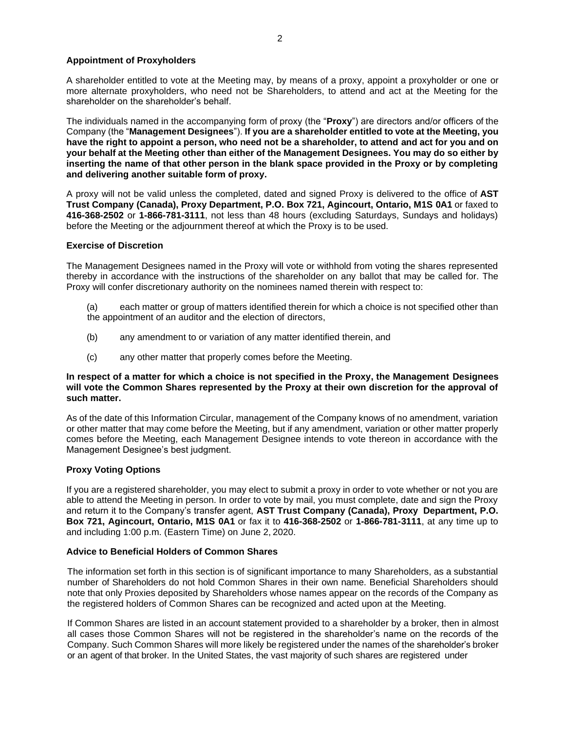#### **Appointment of Proxyholders**

A shareholder entitled to vote at the Meeting may, by means of a proxy, appoint a proxyholder or one or more alternate proxyholders, who need not be Shareholders, to attend and act at the Meeting for the shareholder on the shareholder's behalf.

The individuals named in the accompanying form of proxy (the "**Proxy**") are directors and/or officers of the Company (the "**Management Designees**"). **If you are a shareholder entitled to vote at the Meeting, you have the right to appoint a person, who need not be a shareholder, to attend and act for you and on your behalf at the Meeting other than either of the Management Designees. You may do so either by inserting the name of that other person in the blank space provided in the Proxy or by completing and delivering another suitable form of proxy.**

A proxy will not be valid unless the completed, dated and signed Proxy is delivered to the office of **AST Trust Company (Canada), Proxy Department, P.O. Box 721, Agincourt, Ontario, M1S 0A1** or faxed to **416-368-2502** or **1-866-781-3111**, not less than 48 hours (excluding Saturdays, Sundays and holidays) before the Meeting or the adjournment thereof at which the Proxy is to be used.

#### **Exercise of Discretion**

The Management Designees named in the Proxy will vote or withhold from voting the shares represented thereby in accordance with the instructions of the shareholder on any ballot that may be called for. The Proxy will confer discretionary authority on the nominees named therein with respect to:

- (a) each matter or group of matters identified therein for which a choice is not specified other than the appointment of an auditor and the election of directors,
- (b) any amendment to or variation of any matter identified therein, and
- (c) any other matter that properly comes before the Meeting.

#### **In respect of a matter for which a choice is not specified in the Proxy, the Management Designees will vote the Common Shares represented by the Proxy at their own discretion for the approval of such matter.**

As of the date of this Information Circular, management of the Company knows of no amendment, variation or other matter that may come before the Meeting, but if any amendment, variation or other matter properly comes before the Meeting, each Management Designee intends to vote thereon in accordance with the Management Designee's best judgment.

## **Proxy Voting Options**

If you are a registered shareholder, you may elect to submit a proxy in order to vote whether or not you are able to attend the Meeting in person. In order to vote by mail, you must complete, date and sign the Proxy and return it to the Company's transfer agent, **AST Trust Company (Canada), Proxy Department, P.O. Box 721, Agincourt, Ontario, M1S 0A1** or fax it to **416-368-2502** or **1-866-781-3111**, at any time up to and including 1:00 p.m. (Eastern Time) on June 2, 2020.

#### **Advice to Beneficial Holders of Common Shares**

The information set forth in this section is of significant importance to many Shareholders, as a substantial number of Shareholders do not hold Common Shares in their own name. Beneficial Shareholders should note that only Proxies deposited by Shareholders whose names appear on the records of the Company as the registered holders of Common Shares can be recognized and acted upon at the Meeting.

If Common Shares are listed in an account statement provided to a shareholder by a broker, then in almost all cases those Common Shares will not be registered in the shareholder's name on the records of the Company. Such Common Shares will more likely be registered under the names of the shareholder's broker or an agent of that broker. In the United States, the vast majority of such shares are registered under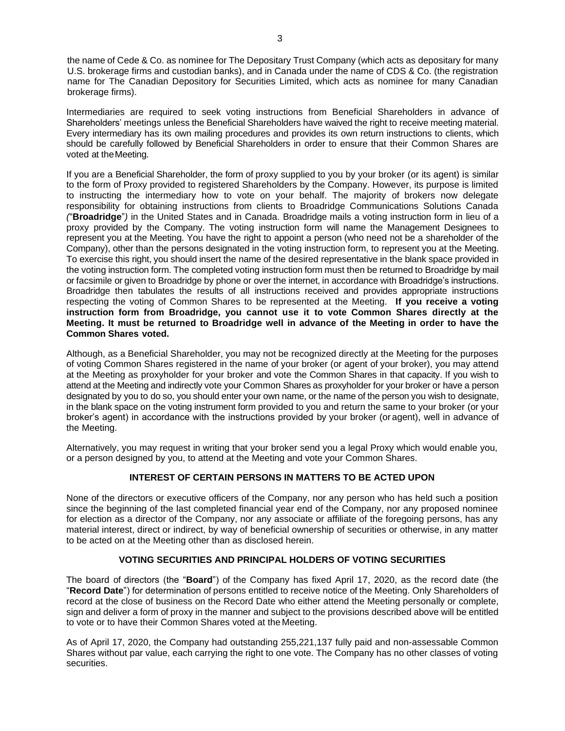the name of Cede & Co. as nominee for The Depositary Trust Company (which acts as depositary for many U.S. brokerage firms and custodian banks), and in Canada under the name of CDS & Co. (the registration name for The Canadian Depository for Securities Limited, which acts as nominee for many Canadian brokerage firms).

Intermediaries are required to seek voting instructions from Beneficial Shareholders in advance of Shareholders' meetings unless the Beneficial Shareholders have waived the right to receive meeting material. Every intermediary has its own mailing procedures and provides its own return instructions to clients, which should be carefully followed by Beneficial Shareholders in order to ensure that their Common Shares are voted at theMeeting.

If you are a Beneficial Shareholder, the form of proxy supplied to you by your broker (or its agent) is similar to the form of Proxy provided to registered Shareholders by the Company. However, its purpose is limited to instructing the intermediary how to vote on your behalf. The majority of brokers now delegate responsibility for obtaining instructions from clients to Broadridge Communications Solutions Canada *(*"**Broadridge**"*)* in the United States and in Canada. Broadridge mails a voting instruction form in lieu of a proxy provided by the Company. The voting instruction form will name the Management Designees to represent you at the Meeting. You have the right to appoint a person (who need not be a shareholder of the Company), other than the persons designated in the voting instruction form, to represent you at the Meeting. To exercise this right, you should insert the name of the desired representative in the blank space provided in the voting instruction form. The completed voting instruction form must then be returned to Broadridge by mail or facsimile or given to Broadridge by phone or over the internet, in accordance with Broadridge's instructions. Broadridge then tabulates the results of all instructions received and provides appropriate instructions respecting the voting of Common Shares to be represented at the Meeting. **If you receive a voting instruction form from Broadridge, you cannot use it to vote Common Shares directly at the Meeting. It must be returned to Broadridge well in advance of the Meeting in order to have the Common Shares voted.**

Although, as a Beneficial Shareholder, you may not be recognized directly at the Meeting for the purposes of voting Common Shares registered in the name of your broker (or agent of your broker), you may attend at the Meeting as proxyholder for your broker and vote the Common Shares in that capacity. If you wish to attend at the Meeting and indirectly vote your Common Shares as proxyholder for your broker or have a person designated by you to do so, you should enter your own name, or the name of the person you wish to designate, in the blank space on the voting instrument form provided to you and return the same to your broker (or your broker's agent) in accordance with the instructions provided by your broker (or agent), well in advance of the Meeting.

Alternatively, you may request in writing that your broker send you a legal Proxy which would enable you, or a person designed by you, to attend at the Meeting and vote your Common Shares.

# **INTEREST OF CERTAIN PERSONS IN MATTERS TO BE ACTED UPON**

None of the directors or executive officers of the Company, nor any person who has held such a position since the beginning of the last completed financial year end of the Company, nor any proposed nominee for election as a director of the Company, nor any associate or affiliate of the foregoing persons, has any material interest, direct or indirect, by way of beneficial ownership of securities or otherwise, in any matter to be acted on at the Meeting other than as disclosed herein.

## **VOTING SECURITIES AND PRINCIPAL HOLDERS OF VOTING SECURITIES**

The board of directors (the "**Board**") of the Company has fixed April 17, 2020, as the record date (the "**Record Date**") for determination of persons entitled to receive notice of the Meeting. Only Shareholders of record at the close of business on the Record Date who either attend the Meeting personally or complete, sign and deliver a form of proxy in the manner and subject to the provisions described above will be entitled to vote or to have their Common Shares voted at the Meeting.

As of April 17, 2020, the Company had outstanding 255,221,137 fully paid and non-assessable Common Shares without par value, each carrying the right to one vote. The Company has no other classes of voting securities.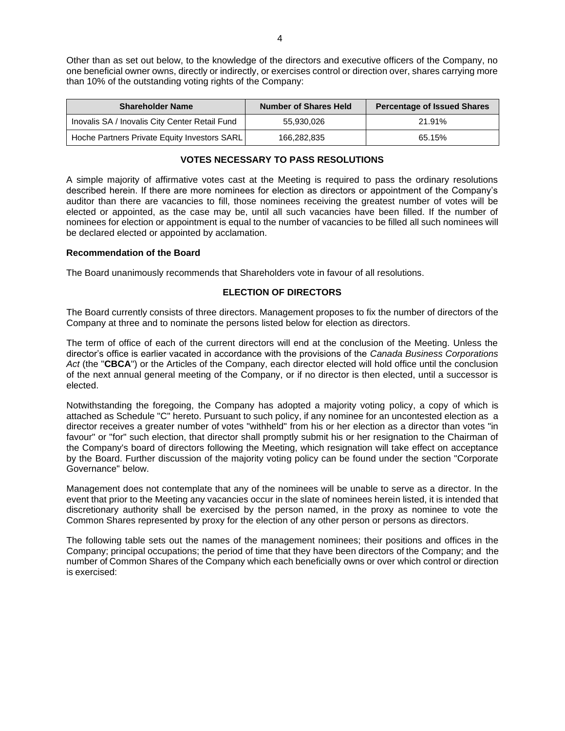Other than as set out below, to the knowledge of the directors and executive officers of the Company, no one beneficial owner owns, directly or indirectly, or exercises control or direction over, shares carrying more than 10% of the outstanding voting rights of the Company:

| <b>Shareholder Name</b>                        | <b>Number of Shares Held</b> | <b>Percentage of Issued Shares</b> |
|------------------------------------------------|------------------------------|------------------------------------|
| Inovalis SA / Inovalis City Center Retail Fund | 55.930.026                   | 21.91%                             |
| Hoche Partners Private Equity Investors SARL   | 166,282,835                  | 65.15%                             |

## **VOTES NECESSARY TO PASS RESOLUTIONS**

A simple majority of affirmative votes cast at the Meeting is required to pass the ordinary resolutions described herein. If there are more nominees for election as directors or appointment of the Company's auditor than there are vacancies to fill, those nominees receiving the greatest number of votes will be elected or appointed, as the case may be, until all such vacancies have been filled. If the number of nominees for election or appointment is equal to the number of vacancies to be filled all such nominees will be declared elected or appointed by acclamation.

#### **Recommendation of the Board**

The Board unanimously recommends that Shareholders vote in favour of all resolutions.

## **ELECTION OF DIRECTORS**

The Board currently consists of three directors. Management proposes to fix the number of directors of the Company at three and to nominate the persons listed below for election as directors.

The term of office of each of the current directors will end at the conclusion of the Meeting. Unless the director's office is earlier vacated in accordance with the provisions of the *Canada Business Corporations Act* (the "**CBCA**") or the Articles of the Company, each director elected will hold office until the conclusion of the next annual general meeting of the Company, or if no director is then elected, until a successor is elected.

Notwithstanding the foregoing, the Company has adopted a majority voting policy, a copy of which is attached as Schedule "C" hereto. Pursuant to such policy, if any nominee for an uncontested election as a director receives a greater number of votes "withheld" from his or her election as a director than votes "in favour" or "for" such election, that director shall promptly submit his or her resignation to the Chairman of the Company's board of directors following the Meeting, which resignation will take effect on acceptance by the Board. Further discussion of the majority voting policy can be found under the section "Corporate Governance" below.

Management does not contemplate that any of the nominees will be unable to serve as a director. In the event that prior to the Meeting any vacancies occur in the slate of nominees herein listed, it is intended that discretionary authority shall be exercised by the person named, in the proxy as nominee to vote the Common Shares represented by proxy for the election of any other person or persons as directors.

The following table sets out the names of the management nominees; their positions and offices in the Company; principal occupations; the period of time that they have been directors of the Company; and the number of Common Shares of the Company which each beneficially owns or over which control or direction is exercised: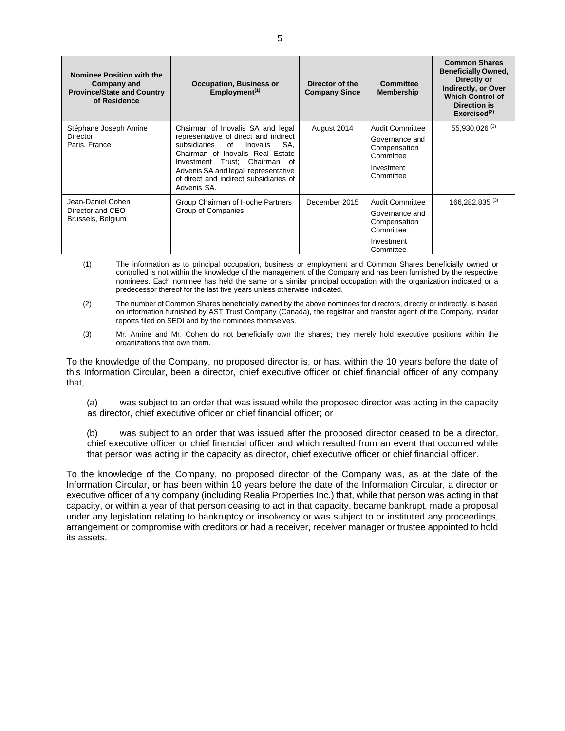| <b>Nominee Position with the</b><br>Company and<br><b>Province/State and Country</b><br>of Residence | <b>Occupation, Business or</b><br>$Employment^{(1)}$                                                                                                                                                                                                                                     | Director of the<br><b>Company Since</b> | Committee<br><b>Membership</b>                                                                   | <b>Common Shares</b><br><b>Beneficially Owned,</b><br>Directly or<br>Indirectly, or Over<br><b>Which Control of</b><br>Direction is<br>Exercised $^{(2)}$ |
|------------------------------------------------------------------------------------------------------|------------------------------------------------------------------------------------------------------------------------------------------------------------------------------------------------------------------------------------------------------------------------------------------|-----------------------------------------|--------------------------------------------------------------------------------------------------|-----------------------------------------------------------------------------------------------------------------------------------------------------------|
| Stéphane Joseph Amine<br>Director<br>Paris, France                                                   | Chairman of Inovalis SA and legal<br>representative of direct and indirect<br>subsidiaries of<br>SA.<br>Inovalis<br>Chairman of Inovalis Real Estate<br>Investment Trust; Chairman<br>റf<br>Advenis SA and legal representative<br>of direct and indirect subsidiaries of<br>Advenis SA. | August 2014                             | Audit Committee<br>Governance and<br>Compensation<br>Committee<br>Investment<br>Committee        | 55,930,026 (3)                                                                                                                                            |
| Jean-Daniel Cohen<br>Director and CEO<br>Brussels, Belgium                                           | Group Chairman of Hoche Partners<br>Group of Companies                                                                                                                                                                                                                                   | December 2015                           | <b>Audit Committee</b><br>Governance and<br>Compensation<br>Committee<br>Investment<br>Committee | 166,282,835 <sup>(3)</sup>                                                                                                                                |

- (1) The information as to principal occupation, business or employment and Common Shares beneficially owned or controlled is not within the knowledge of the management of the Company and has been furnished by the respective nominees. Each nominee has held the same or a similar principal occupation with the organization indicated or a predecessor thereof for the last five years unless otherwise indicated.
- (2) The number of Common Shares beneficially owned by the above nominees for directors, directly or indirectly, is based on information furnished by AST Trust Company (Canada), the registrar and transfer agent of the Company, insider reports filed on SEDI and by the nominees themselves.
- (3) Mr. Amine and Mr. Cohen do not beneficially own the shares; they merely hold executive positions within the organizations that own them.

To the knowledge of the Company, no proposed director is, or has, within the 10 years before the date of this Information Circular, been a director, chief executive officer or chief financial officer of any company that,

(a) was subject to an order that was issued while the proposed director was acting in the capacity as director, chief executive officer or chief financial officer; or

(b) was subject to an order that was issued after the proposed director ceased to be a director, chief executive officer or chief financial officer and which resulted from an event that occurred while that person was acting in the capacity as director, chief executive officer or chief financial officer.

To the knowledge of the Company, no proposed director of the Company was, as at the date of the Information Circular, or has been within 10 years before the date of the Information Circular, a director or executive officer of any company (including Realia Properties Inc.) that, while that person was acting in that capacity, or within a year of that person ceasing to act in that capacity, became bankrupt, made a proposal under any legislation relating to bankruptcy or insolvency or was subject to or instituted any proceedings, arrangement or compromise with creditors or had a receiver, receiver manager or trustee appointed to hold its assets.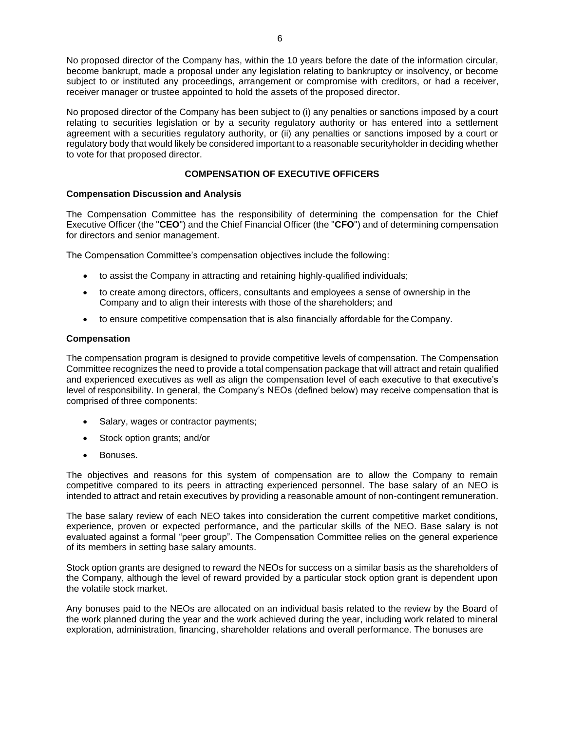No proposed director of the Company has, within the 10 years before the date of the information circular, become bankrupt, made a proposal under any legislation relating to bankruptcy or insolvency, or become subject to or instituted any proceedings, arrangement or compromise with creditors, or had a receiver, receiver manager or trustee appointed to hold the assets of the proposed director.

No proposed director of the Company has been subject to (i) any penalties or sanctions imposed by a court relating to securities legislation or by a security regulatory authority or has entered into a settlement agreement with a securities regulatory authority, or (ii) any penalties or sanctions imposed by a court or regulatory body that would likely be considered important to a reasonable securityholder in deciding whether to vote for that proposed director.

## **COMPENSATION OF EXECUTIVE OFFICERS**

## **Compensation Discussion and Analysis**

The Compensation Committee has the responsibility of determining the compensation for the Chief Executive Officer (the "**CEO**") and the Chief Financial Officer (the "**CFO**") and of determining compensation for directors and senior management.

The Compensation Committee's compensation objectives include the following:

- to assist the Company in attracting and retaining highly-qualified individuals;
- to create among directors, officers, consultants and employees a sense of ownership in the Company and to align their interests with those of the shareholders; and
- to ensure competitive compensation that is also financially affordable for the Company.

## **Compensation**

The compensation program is designed to provide competitive levels of compensation. The Compensation Committee recognizes the need to provide a total compensation package that will attract and retain qualified and experienced executives as well as align the compensation level of each executive to that executive's level of responsibility. In general, the Company's NEOs (defined below) may receive compensation that is comprised of three components:

- Salary, wages or contractor payments;
- Stock option grants; and/or
- Bonuses.

The objectives and reasons for this system of compensation are to allow the Company to remain competitive compared to its peers in attracting experienced personnel. The base salary of an NEO is intended to attract and retain executives by providing a reasonable amount of non-contingent remuneration.

The base salary review of each NEO takes into consideration the current competitive market conditions, experience, proven or expected performance, and the particular skills of the NEO. Base salary is not evaluated against a formal "peer group". The Compensation Committee relies on the general experience of its members in setting base salary amounts.

Stock option grants are designed to reward the NEOs for success on a similar basis as the shareholders of the Company, although the level of reward provided by a particular stock option grant is dependent upon the volatile stock market.

Any bonuses paid to the NEOs are allocated on an individual basis related to the review by the Board of the work planned during the year and the work achieved during the year, including work related to mineral exploration, administration, financing, shareholder relations and overall performance. The bonuses are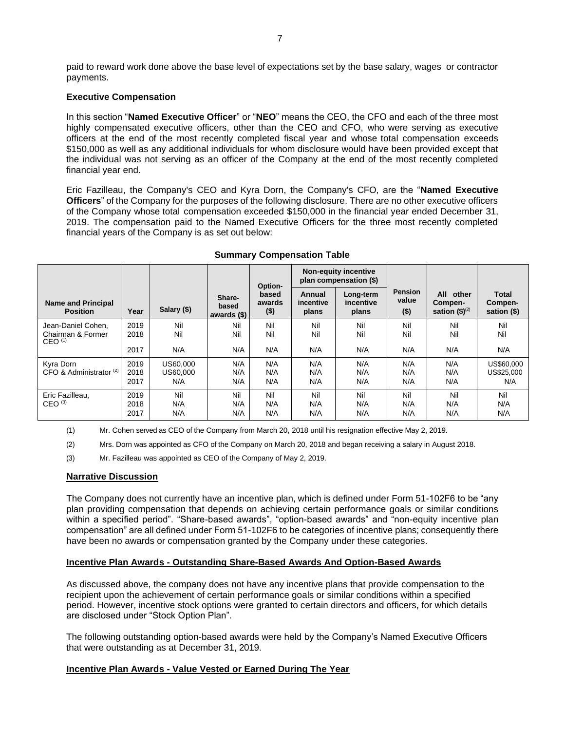paid to reward work done above the base level of expectations set by the base salary, wages or contractor payments.

## **Executive Compensation**

In this section "**Named Executive Officer**" or "**NEO**" means the CEO, the CFO and each of the three most highly compensated executive officers, other than the CEO and CFO, who were serving as executive officers at the end of the most recently completed fiscal year and whose total compensation exceeds \$150,000 as well as any additional individuals for whom disclosure would have been provided except that the individual was not serving as an officer of the Company at the end of the most recently completed financial year end.

Eric Fazilleau, the Company's CEO and Kyra Dorn, the Company's CFO, are the "**Named Executive Officers**" of the Company for the purposes of the following disclosure. There are no other executive officers of the Company whose total compensation exceeded \$150,000 in the financial year ended December 31, 2019. The compensation paid to the Named Executive Officers for the three most recently completed financial years of the Company is as set out below:

|                                                               |                      |                             |                                  | Option-                    |                              | <b>Non-equity incentive</b><br>plan compensation (\$) |                                    |                                           |                                        |
|---------------------------------------------------------------|----------------------|-----------------------------|----------------------------------|----------------------------|------------------------------|-------------------------------------------------------|------------------------------------|-------------------------------------------|----------------------------------------|
| <b>Name and Principal</b><br><b>Position</b>                  | Year                 | Salary (\$)                 | Share-<br>based<br>awards $(\$)$ | based<br>awards<br>$($ \$) | Annual<br>incentive<br>plans | Long-term<br>incentive<br>plans                       | <b>Pension</b><br>value<br>$($ \$) | All other<br>Compen-<br>sation $$)^{(2)}$ | <b>Total</b><br>Compen-<br>sation (\$) |
| Jean-Daniel Cohen,<br>Chairman & Former<br>CEO <sup>(1)</sup> | 2019<br>2018         | Nil<br>Nil                  | Nil<br>Nil                       | Nil<br>Nil                 | Nil<br>Nil                   | Nil<br>Nil                                            | Nil<br>Nil                         | Nil<br>Nil                                | Nil<br>Nil                             |
|                                                               | 2017                 | N/A                         | N/A                              | N/A                        | N/A                          | N/A                                                   | N/A                                | N/A                                       | N/A                                    |
| Kyra Dorn<br>CFO & Administrator <sup>(2)</sup>               | 2019<br>2018<br>2017 | US60.000<br>US60,000<br>N/A | N/A<br>N/A<br>N/A                | N/A<br>N/A<br>N/A          | N/A<br>N/A<br>N/A            | N/A<br>N/A<br>N/A                                     | N/A<br>N/A<br>N/A                  | N/A<br>N/A<br>N/A                         | US\$60,000<br>US\$25,000<br>N/A        |
| Eric Fazilleau.<br>CEO <sup>(3)</sup>                         | 2019<br>2018<br>2017 | Nil<br>N/A<br>N/A           | Nil<br>N/A<br>N/A                | Nil<br>N/A<br>N/A          | Nil<br>N/A<br>N/A            | Nil<br>N/A<br>N/A                                     | Nil<br>N/A<br>N/A                  | Nil<br>N/A<br>N/A                         | Nil<br>N/A<br>N/A                      |

#### **Summary Compensation Table**

(1) Mr. Cohen served as CEO of the Company from March 20, 2018 until his resignation effective May 2, 2019.

(2) Mrs. Dorn was appointed as CFO of the Company on March 20, 2018 and began receiving a salary in August 2018.

(3) Mr. Fazilleau was appointed as CEO of the Company of May 2, 2019.

## **Narrative Discussion**

The Company does not currently have an incentive plan, which is defined under Form 51-102F6 to be "any plan providing compensation that depends on achieving certain performance goals or similar conditions within a specified period". "Share-based awards", "option-based awards" and "non-equity incentive plan compensation" are all defined under Form 51-102F6 to be categories of incentive plans; consequently there have been no awards or compensation granted by the Company under these categories.

## **Incentive Plan Awards - Outstanding Share-Based Awards And Option-Based Awards**

As discussed above, the company does not have any incentive plans that provide compensation to the recipient upon the achievement of certain performance goals or similar conditions within a specified period. However, incentive stock options were granted to certain directors and officers, for which details are disclosed under "Stock Option Plan".

The following outstanding option-based awards were held by the Company's Named Executive Officers that were outstanding as at December 31, 2019.

# **Incentive Plan Awards - Value Vested or Earned During The Year**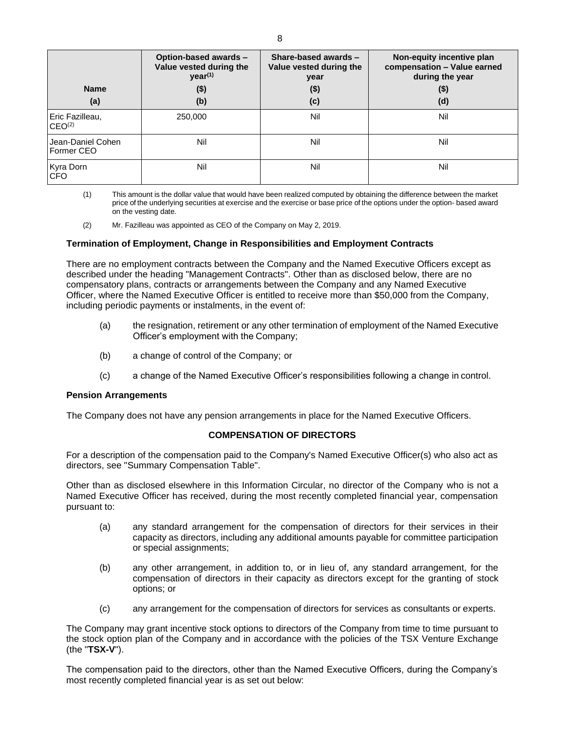| <b>Name</b><br>(a)                    | Option-based awards -<br>Value vested during the<br>year <sup>(1)</sup><br>$($ \$)<br>(b) | Share-based awards -<br>Value vested during the<br>year<br>$($ \$)<br>(c) | Non-equity incentive plan<br>compensation - Value earned<br>during the year<br>$($ \$)<br>(d) |
|---------------------------------------|-------------------------------------------------------------------------------------------|---------------------------------------------------------------------------|-----------------------------------------------------------------------------------------------|
| Eric Fazilleau,<br>CEO <sup>(2)</sup> | 250,000                                                                                   | Nil                                                                       | Nil                                                                                           |
| Jean-Daniel Cohen<br>l Former CEO     | Nil                                                                                       | Nil                                                                       | Nil                                                                                           |
| Kyra Dorn<br><b>CFO</b>               | Nil                                                                                       | Nil                                                                       | Nil                                                                                           |

(1) This amount is the dollar value that would have been realized computed by obtaining the difference between the market price of the underlying securities at exercise and the exercise or base price of the options under the option- based award on the vesting date.

(2) Mr. Fazilleau was appointed as CEO of the Company on May 2, 2019.

#### **Termination of Employment, Change in Responsibilities and Employment Contracts**

There are no employment contracts between the Company and the Named Executive Officers except as described under the heading "Management Contracts". Other than as disclosed below, there are no compensatory plans, contracts or arrangements between the Company and any Named Executive Officer, where the Named Executive Officer is entitled to receive more than \$50,000 from the Company, including periodic payments or instalments, in the event of:

- (a) the resignation, retirement or any other termination of employment of the Named Executive Officer's employment with the Company;
- (b) a change of control of the Company; or
- (c) a change of the Named Executive Officer's responsibilities following a change in control.

#### **Pension Arrangements**

The Company does not have any pension arrangements in place for the Named Executive Officers.

## **COMPENSATION OF DIRECTORS**

For a description of the compensation paid to the Company's Named Executive Officer(s) who also act as directors, see "Summary Compensation Table".

Other than as disclosed elsewhere in this Information Circular, no director of the Company who is not a Named Executive Officer has received, during the most recently completed financial year, compensation pursuant to:

- (a) any standard arrangement for the compensation of directors for their services in their capacity as directors, including any additional amounts payable for committee participation or special assignments;
- (b) any other arrangement, in addition to, or in lieu of, any standard arrangement, for the compensation of directors in their capacity as directors except for the granting of stock options; or
- (c) any arrangement for the compensation of directors for services as consultants or experts.

The Company may grant incentive stock options to directors of the Company from time to time pursuant to the stock option plan of the Company and in accordance with the policies of the TSX Venture Exchange (the "**TSX-V**").

The compensation paid to the directors, other than the Named Executive Officers, during the Company's most recently completed financial year is as set out below: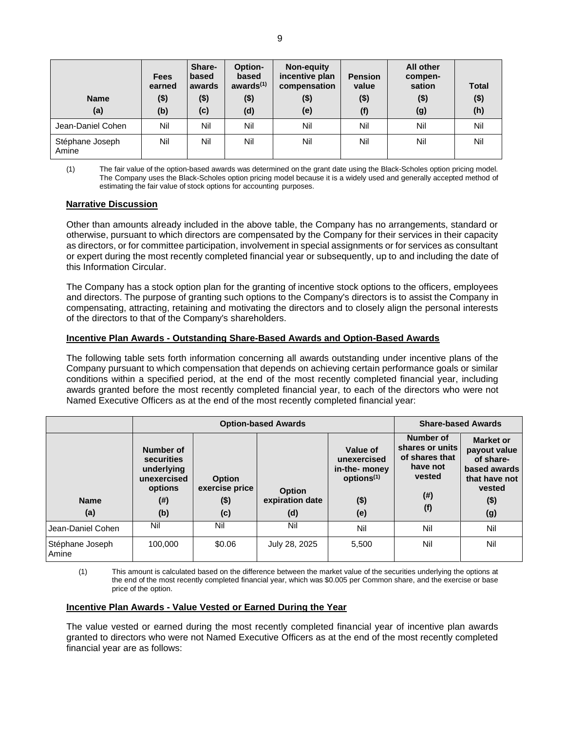| <b>Name</b><br>(a)       | <b>Fees</b><br>earned<br>$($ \$)<br>(b) | Share-<br>based<br>awards<br>$($ \$)<br>(c) | <b>Option-</b><br>based<br>awards $(1)$<br>$($ \$)<br>(d) | Non-equity<br>incentive plan<br>compensation<br>$($ \$)<br>(e) | <b>Pension</b><br>value<br>$($ \$)<br>(f) | All other<br>compen-<br>sation<br>$($ \$)<br>(g) | <b>Total</b><br>$($ \$)<br>(h) |
|--------------------------|-----------------------------------------|---------------------------------------------|-----------------------------------------------------------|----------------------------------------------------------------|-------------------------------------------|--------------------------------------------------|--------------------------------|
| Jean-Daniel Cohen        | Nil                                     | Nil                                         | Nil                                                       | Nil                                                            | Nil                                       | Nil                                              | Nil                            |
| Stéphane Joseph<br>Amine | Nil                                     | Nil                                         | Nil                                                       | Nil                                                            | Nil                                       | Nil                                              | Nil                            |

(1) The fair value of the option-based awards was determined on the grant date using the Black-Scholes option pricing model. The Company uses the Black-Scholes option pricing model because it is a widely used and generally accepted method of estimating the fair value of stock options for accounting purposes.

## **Narrative Discussion**

Other than amounts already included in the above table, the Company has no arrangements, standard or otherwise, pursuant to which directors are compensated by the Company for their services in their capacity as directors, or for committee participation, involvement in special assignments or for services as consultant or expert during the most recently completed financial year or subsequently, up to and including the date of this Information Circular.

The Company has a stock option plan for the granting of incentive stock options to the officers, employees and directors. The purpose of granting such options to the Company's directors is to assist the Company in compensating, attracting, retaining and motivating the directors and to closely align the personal interests of the directors to that of the Company's shareholders.

## **Incentive Plan Awards - Outstanding Share-Based Awards and Option-Based Awards**

The following table sets forth information concerning all awards outstanding under incentive plans of the Company pursuant to which compensation that depends on achieving certain performance goals or similar conditions within a specified period, at the end of the most recently completed financial year, including awards granted before the most recently completed financial year, to each of the directors who were not Named Executive Officers as at the end of the most recently completed financial year:

|                          |                                                                                     | <b>Option-based Awards</b>                        | <b>Share-based Awards</b>               |                                                                                      |                                                                                       |                                                                                                     |
|--------------------------|-------------------------------------------------------------------------------------|---------------------------------------------------|-----------------------------------------|--------------------------------------------------------------------------------------|---------------------------------------------------------------------------------------|-----------------------------------------------------------------------------------------------------|
| <b>Name</b><br>(a)       | Number of<br>securities<br>underlying<br>unexercised<br>options<br>$($ # $)$<br>(b) | <b>Option</b><br>exercise price<br>$($ \$)<br>(c) | <b>Option</b><br>expiration date<br>(d) | Value of<br>unexercised<br>in-the- money<br>options <sup>(1)</sup><br>$($ \$)<br>(e) | Number of<br>shares or units<br>of shares that<br>have not<br>vested<br>$(\#)$<br>(f) | Market or<br>payout value<br>of share-<br>based awards<br>that have not<br>vested<br>$($ \$)<br>(g) |
| Jean-Daniel Cohen        | Nil                                                                                 | Nil                                               | Nil                                     | Nil                                                                                  | Nil                                                                                   | Nil                                                                                                 |
| Stéphane Joseph<br>Amine | 100,000                                                                             | \$0.06                                            | July 28, 2025                           | 5,500                                                                                | Nil                                                                                   | Nil                                                                                                 |

(1) This amount is calculated based on the difference between the market value of the securities underlying the options at the end of the most recently completed financial year, which was \$0.005 per Common share, and the exercise or base price of the option.

# **Incentive Plan Awards - Value Vested or Earned During the Year**

The value vested or earned during the most recently completed financial year of incentive plan awards granted to directors who were not Named Executive Officers as at the end of the most recently completed financial year are as follows: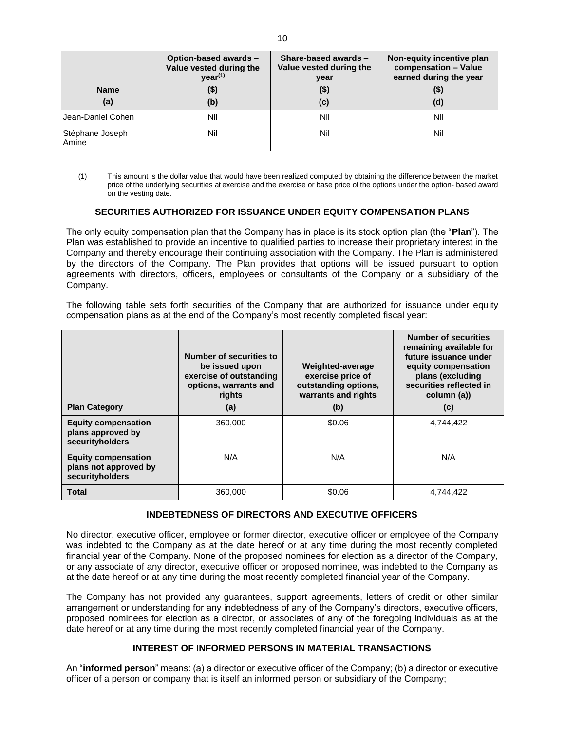|                          | Option-based awards -<br>Value vested during the<br>year <sup>(1)</sup> | Share-based awards -<br>Value vested during the<br>year | Non-equity incentive plan<br>compensation - Value<br>earned during the year |
|--------------------------|-------------------------------------------------------------------------|---------------------------------------------------------|-----------------------------------------------------------------------------|
| <b>Name</b>              | (\$)                                                                    | $($ \$)                                                 | (\$)                                                                        |
| (a)                      | (b)                                                                     | (c)                                                     | (d)                                                                         |
| I Jean-Daniel Cohen      | Nil                                                                     | Nil                                                     | Nil                                                                         |
| Stéphane Joseph<br>Amine | Nil                                                                     | Nil                                                     | Nil                                                                         |

(1) This amount is the dollar value that would have been realized computed by obtaining the difference between the market price of the underlying securities at exercise and the exercise or base price of the options under the option- based award on the vesting date.

## **SECURITIES AUTHORIZED FOR ISSUANCE UNDER EQUITY COMPENSATION PLANS**

The only equity compensation plan that the Company has in place is its stock option plan (the "**Plan**"). The Plan was established to provide an incentive to qualified parties to increase their proprietary interest in the Company and thereby encourage their continuing association with the Company. The Plan is administered by the directors of the Company. The Plan provides that options will be issued pursuant to option agreements with directors, officers, employees or consultants of the Company or a subsidiary of the Company.

The following table sets forth securities of the Company that are authorized for issuance under equity compensation plans as at the end of the Company's most recently completed fiscal year:

| <b>Plan Category</b>                                                   | Number of securities to<br>be issued upon<br>exercise of outstanding<br>options, warrants and<br>rights<br>(a) | Weighted-average<br>exercise price of<br>outstanding options,<br>warrants and rights<br>(b) | <b>Number of securities</b><br>remaining available for<br>future issuance under<br>equity compensation<br>plans (excluding<br>securities reflected in<br>column (a))<br>(c) |
|------------------------------------------------------------------------|----------------------------------------------------------------------------------------------------------------|---------------------------------------------------------------------------------------------|-----------------------------------------------------------------------------------------------------------------------------------------------------------------------------|
| <b>Equity compensation</b><br>plans approved by<br>securityholders     | 360,000                                                                                                        | \$0.06                                                                                      | 4.744.422                                                                                                                                                                   |
| <b>Equity compensation</b><br>plans not approved by<br>securityholders | N/A                                                                                                            | N/A                                                                                         | N/A                                                                                                                                                                         |
| <b>Total</b>                                                           | 360,000                                                                                                        | \$0.06                                                                                      | 4,744,422                                                                                                                                                                   |

# **INDEBTEDNESS OF DIRECTORS AND EXECUTIVE OFFICERS**

No director, executive officer, employee or former director, executive officer or employee of the Company was indebted to the Company as at the date hereof or at any time during the most recently completed financial year of the Company. None of the proposed nominees for election as a director of the Company, or any associate of any director, executive officer or proposed nominee, was indebted to the Company as at the date hereof or at any time during the most recently completed financial year of the Company.

The Company has not provided any guarantees, support agreements, letters of credit or other similar arrangement or understanding for any indebtedness of any of the Company's directors, executive officers, proposed nominees for election as a director, or associates of any of the foregoing individuals as at the date hereof or at any time during the most recently completed financial year of the Company.

# **INTEREST OF INFORMED PERSONS IN MATERIAL TRANSACTIONS**

An "**informed person**" means: (a) a director or executive officer of the Company; (b) a director or executive officer of a person or company that is itself an informed person or subsidiary of the Company;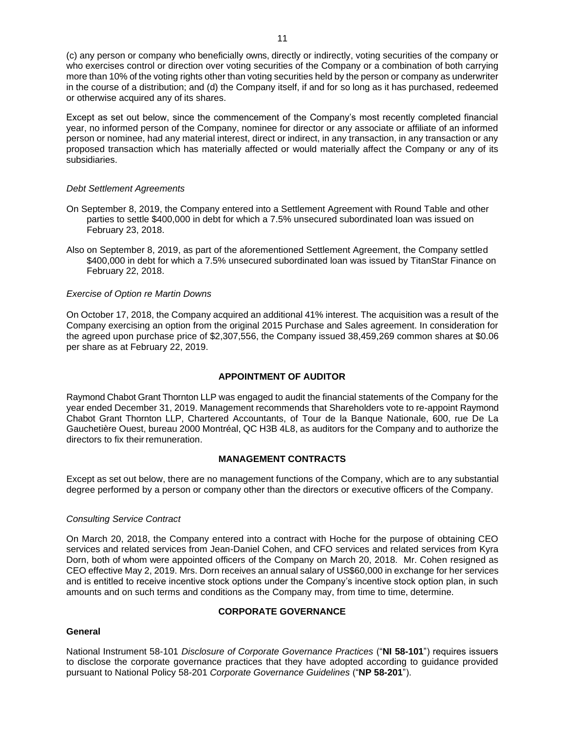(c) any person or company who beneficially owns, directly or indirectly, voting securities of the company or who exercises control or direction over voting securities of the Company or a combination of both carrying more than 10% of the voting rights other than voting securities held by the person or company as underwriter in the course of a distribution; and (d) the Company itself, if and for so long as it has purchased, redeemed or otherwise acquired any of its shares.

Except as set out below, since the commencement of the Company's most recently completed financial year, no informed person of the Company, nominee for director or any associate or affiliate of an informed person or nominee, had any material interest, direct or indirect, in any transaction, in any transaction or any proposed transaction which has materially affected or would materially affect the Company or any of its subsidiaries.

## *Debt Settlement Agreements*

- On September 8, 2019, the Company entered into a Settlement Agreement with Round Table and other parties to settle \$400,000 in debt for which a 7.5% unsecured subordinated loan was issued on February 23, 2018.
- Also on September 8, 2019, as part of the aforementioned Settlement Agreement, the Company settled \$400,000 in debt for which a 7.5% unsecured subordinated loan was issued by TitanStar Finance on February 22, 2018.

## *Exercise of Option re Martin Downs*

On October 17, 2018, the Company acquired an additional 41% interest. The acquisition was a result of the Company exercising an option from the original 2015 Purchase and Sales agreement. In consideration for the agreed upon purchase price of \$2,307,556, the Company issued 38,459,269 common shares at \$0.06 per share as at February 22, 2019.

# **APPOINTMENT OF AUDITOR**

Raymond Chabot Grant Thornton LLP was engaged to audit the financial statements of the Company for the year ended December 31, 2019. Management recommends that Shareholders vote to re-appoint Raymond Chabot Grant Thornton LLP, Chartered Accountants, of Tour de la Banque Nationale, 600, rue De La Gauchetière Ouest, bureau 2000 Montréal, QC H3B 4L8, as auditors for the Company and to authorize the directors to fix their remuneration.

## **MANAGEMENT CONTRACTS**

Except as set out below, there are no management functions of the Company, which are to any substantial degree performed by a person or company other than the directors or executive officers of the Company.

## *Consulting Service Contract*

On March 20, 2018, the Company entered into a contract with Hoche for the purpose of obtaining CEO services and related services from Jean-Daniel Cohen, and CFO services and related services from Kyra Dorn, both of whom were appointed officers of the Company on March 20, 2018. Mr. Cohen resigned as CEO effective May 2, 2019. Mrs. Dorn receives an annual salary of US\$60,000 in exchange for her services and is entitled to receive incentive stock options under the Company's incentive stock option plan, in such amounts and on such terms and conditions as the Company may, from time to time, determine.

# **CORPORATE GOVERNANCE**

# **General**

National Instrument 58-101 *Disclosure of Corporate Governance Practices* ("**NI 58-101**") requires issuers to disclose the corporate governance practices that they have adopted according to guidance provided pursuant to National Policy 58-201 *Corporate Governance Guidelines* ("**NP 58-201**").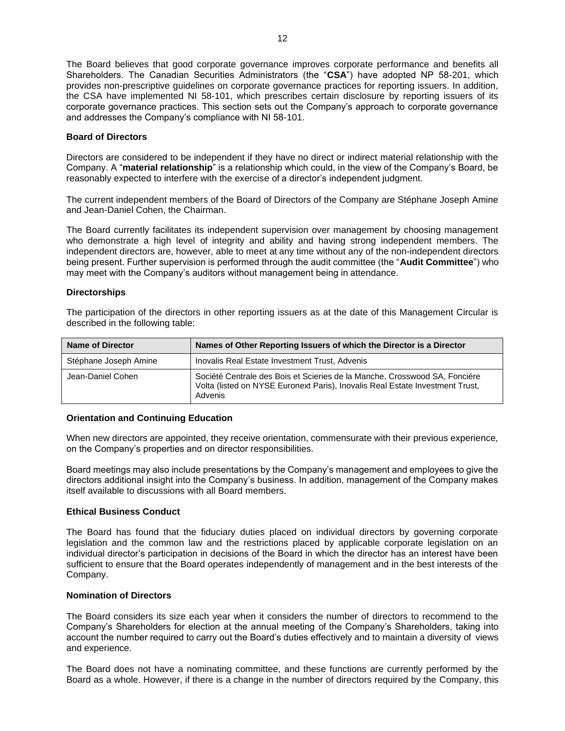The Board believes that good corporate governance improves corporate performance and benefits all Shareholders. The Canadian Securities Administrators (the "**CSA**") have adopted NP 58-201, which provides non-prescriptive guidelines on corporate governance practices for reporting issuers. In addition, the CSA have implemented NI 58-101, which prescribes certain disclosure by reporting issuers of its corporate governance practices. This section sets out the Company's approach to corporate governance and addresses the Company's compliance with NI 58-101.

#### **Board of Directors**

Directors are considered to be independent if they have no direct or indirect material relationship with the Company. A "**material relationship**" is a relationship which could, in the view of the Company's Board, be reasonably expected to interfere with the exercise of a director's independent judgment.

The current independent members of the Board of Directors of the Company are Stéphane Joseph Amine and Jean-Daniel Cohen, the Chairman.

The Board currently facilitates its independent supervision over management by choosing management who demonstrate a high level of integrity and ability and having strong independent members. The independent directors are, however, able to meet at any time without any of the non-independent directors being present. Further supervision is performed through the audit committee (the "**Audit Committee**") who may meet with the Company's auditors without management being in attendance.

#### **Directorships**

The participation of the directors in other reporting issuers as at the date of this Management Circular is described in the following table:

| <b>Name of Director</b> | Names of Other Reporting Issuers of which the Director is a Director                                                                                                   |
|-------------------------|------------------------------------------------------------------------------------------------------------------------------------------------------------------------|
| Stéphane Joseph Amine   | Inovalis Real Estate Investment Trust, Advenis                                                                                                                         |
| Jean-Daniel Cohen       | Société Centrale des Bois et Scieries de la Manche, Crosswood SA, Fonciére<br>Volta (listed on NYSE Euronext Paris), Inovalis Real Estate Investment Trust,<br>Advenis |

#### **Orientation and Continuing Education**

When new directors are appointed, they receive orientation, commensurate with their previous experience, on the Company's properties and on director responsibilities.

Board meetings may also include presentations by the Company's management and employees to give the directors additional insight into the Company's business. In addition, management of the Company makes itself available to discussions with all Board members.

## **Ethical Business Conduct**

The Board has found that the fiduciary duties placed on individual directors by governing corporate legislation and the common law and the restrictions placed by applicable corporate legislation on an individual director's participation in decisions of the Board in which the director has an interest have been sufficient to ensure that the Board operates independently of management and in the best interests of the Company.

#### **Nomination of Directors**

The Board considers its size each year when it considers the number of directors to recommend to the Company's Shareholders for election at the annual meeting of the Company's Shareholders, taking into account the number required to carry out the Board's duties effectively and to maintain a diversity of views and experience.

The Board does not have a nominating committee, and these functions are currently performed by the Board as a whole. However, if there is a change in the number of directors required by the Company, this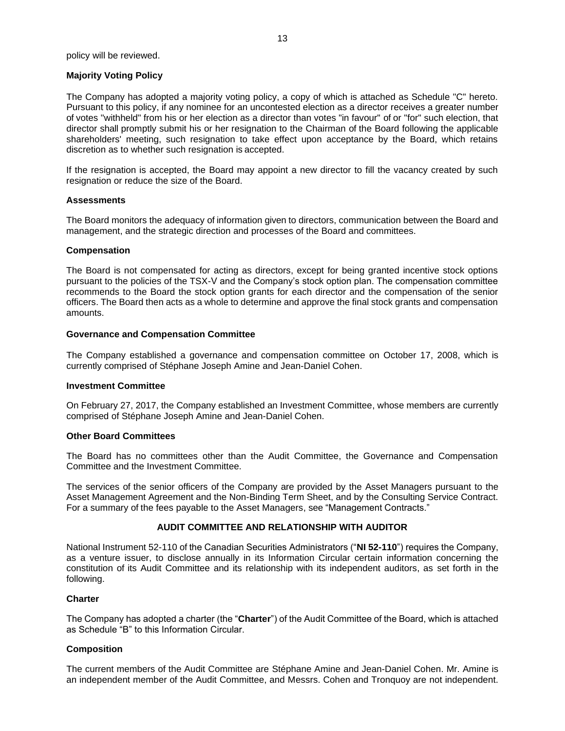#### **Majority Voting Policy**

The Company has adopted a majority voting policy, a copy of which is attached as Schedule "C" hereto. Pursuant to this policy, if any nominee for an uncontested election as a director receives a greater number of votes "withheld" from his or her election as a director than votes "in favour" of or "for" such election, that director shall promptly submit his or her resignation to the Chairman of the Board following the applicable shareholders' meeting, such resignation to take effect upon acceptance by the Board, which retains discretion as to whether such resignation is accepted.

If the resignation is accepted, the Board may appoint a new director to fill the vacancy created by such resignation or reduce the size of the Board.

#### **Assessments**

The Board monitors the adequacy of information given to directors, communication between the Board and management, and the strategic direction and processes of the Board and committees.

#### **Compensation**

The Board is not compensated for acting as directors, except for being granted incentive stock options pursuant to the policies of the TSX-V and the Company's stock option plan. The compensation committee recommends to the Board the stock option grants for each director and the compensation of the senior officers. The Board then acts as a whole to determine and approve the final stock grants and compensation amounts.

#### **Governance and Compensation Committee**

The Company established a governance and compensation committee on October 17, 2008, which is currently comprised of Stéphane Joseph Amine and Jean-Daniel Cohen.

#### **Investment Committee**

On February 27, 2017, the Company established an Investment Committee, whose members are currently comprised of Stéphane Joseph Amine and Jean-Daniel Cohen.

#### **Other Board Committees**

The Board has no committees other than the Audit Committee, the Governance and Compensation Committee and the Investment Committee.

The services of the senior officers of the Company are provided by the Asset Managers pursuant to the Asset Management Agreement and the Non-Binding Term Sheet, and by the Consulting Service Contract. For a summary of the fees payable to the Asset Managers, see "Management Contracts."

## **AUDIT COMMITTEE AND RELATIONSHIP WITH AUDITOR**

National Instrument 52-110 of the Canadian Securities Administrators ("**NI 52-110**") requires the Company, as a venture issuer, to disclose annually in its Information Circular certain information concerning the constitution of its Audit Committee and its relationship with its independent auditors, as set forth in the following.

#### **Charter**

The Company has adopted a charter (the "**Charter**") of the Audit Committee of the Board, which is attached as Schedule "B" to this Information Circular.

## **Composition**

The current members of the Audit Committee are Stéphane Amine and Jean-Daniel Cohen. Mr. Amine is an independent member of the Audit Committee, and Messrs. Cohen and Tronquoy are not independent.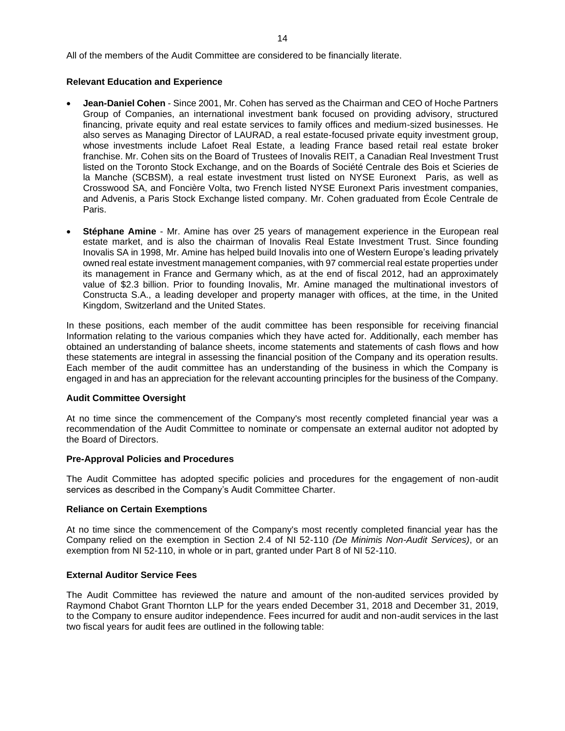All of the members of the Audit Committee are considered to be financially literate.

## **Relevant Education and Experience**

- **Jean-Daniel Cohen**  Since 2001, Mr. Cohen has served as the Chairman and CEO of Hoche Partners Group of Companies, an international investment bank focused on providing advisory, structured financing, private equity and real estate services to family offices and medium-sized businesses. He also serves as Managing Director of LAURAD, a real estate-focused private equity investment group, whose investments include Lafoet Real Estate, a leading France based retail real estate broker franchise. Mr. Cohen sits on the Board of Trustees of Inovalis REIT, a Canadian Real Investment Trust listed on the Toronto Stock Exchange, and on the Boards of Société Centrale des Bois et Scieries de la Manche (SCBSM), a real estate investment trust listed on NYSE Euronext Paris, as well as Crosswood SA, and Foncière Volta, two French listed NYSE Euronext Paris investment companies, and Advenis, a Paris Stock Exchange listed company. Mr. Cohen graduated from École Centrale de Paris.
- **Stéphane Amine**  Mr. Amine has over 25 years of management experience in the European real estate market, and is also the chairman of Inovalis Real Estate Investment Trust. Since founding Inovalis SA in 1998, Mr. Amine has helped build Inovalis into one of Western Europe's leading privately owned real estate investment management companies, with 97 commercial real estate properties under its management in France and Germany which, as at the end of fiscal 2012, had an approximately value of \$2.3 billion. Prior to founding Inovalis, Mr. Amine managed the multinational investors of Constructa S.A., a leading developer and property manager with offices, at the time, in the United Kingdom, Switzerland and the United States.

In these positions, each member of the audit committee has been responsible for receiving financial Information relating to the various companies which they have acted for. Additionally, each member has obtained an understanding of balance sheets, income statements and statements of cash flows and how these statements are integral in assessing the financial position of the Company and its operation results. Each member of the audit committee has an understanding of the business in which the Company is engaged in and has an appreciation for the relevant accounting principles for the business of the Company.

#### **Audit Committee Oversight**

At no time since the commencement of the Company's most recently completed financial year was a recommendation of the Audit Committee to nominate or compensate an external auditor not adopted by the Board of Directors.

#### **Pre-Approval Policies and Procedures**

The Audit Committee has adopted specific policies and procedures for the engagement of non*-*audit services as described in the Company's Audit Committee Charter.

#### **Reliance on Certain Exemptions**

At no time since the commencement of the Company's most recently completed financial year has the Company relied on the exemption in Section 2.4 of NI 52-110 *(De Minimis Non-Audit Services)*, or an exemption from NI 52-110, in whole or in part, granted under Part 8 of NI 52-110.

#### **External Auditor Service Fees**

The Audit Committee has reviewed the nature and amount of the non*-*audited services provided by Raymond Chabot Grant Thornton LLP for the years ended December 31, 2018 and December 31, 2019, to the Company to ensure auditor independence. Fees incurred for audit and non*-*audit services in the last two fiscal years for audit fees are outlined in the following table: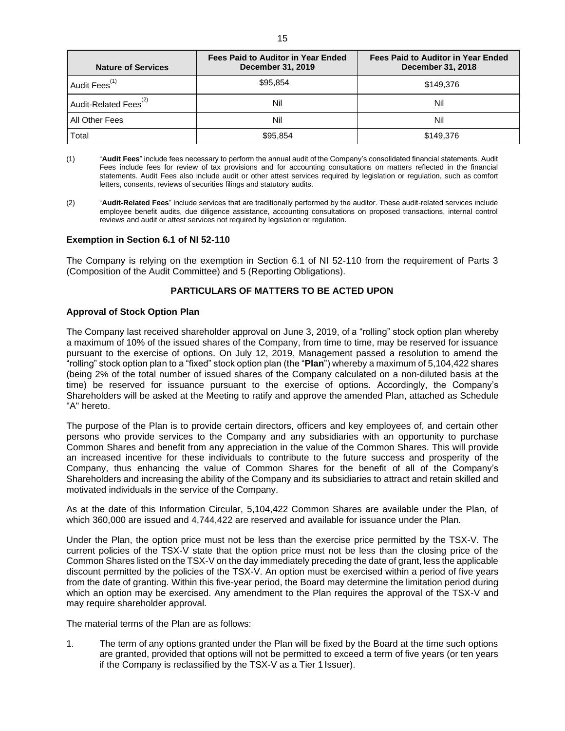| <b>Nature of Services</b>         | Fees Paid to Auditor in Year Ended<br><b>December 31, 2019</b> | <b>Fees Paid to Auditor in Year Ended</b><br><b>December 31, 2018</b> |
|-----------------------------------|----------------------------------------------------------------|-----------------------------------------------------------------------|
| Audit Fees <sup>(1)</sup>         | \$95.854                                                       | \$149,376                                                             |
| Audit-Related Fees <sup>(2)</sup> | Nil                                                            | Nil                                                                   |
| All Other Fees                    | Nil                                                            | Nil                                                                   |
| Total                             | \$95.854                                                       | \$149,376                                                             |

- (1) "**Audit Fees**" include fees necessary to perform the annual audit of the Company's consolidated financial statements. Audit Fees include fees for review of tax provisions and for accounting consultations on matters reflected in the financial statements. Audit Fees also include audit or other attest services required by legislation or regulation, such as comfort letters, consents, reviews of securities filings and statutory audits.
- (2) "**Audit-Related Fees**" include services that are traditionally performed by the auditor. These audit-related services include employee benefit audits, due diligence assistance, accounting consultations on proposed transactions, internal control reviews and audit or attest services not required by legislation or regulation.

#### **Exemption in Section 6.1 of NI 52-110**

The Company is relying on the exemption in Section 6.1 of NI 52-110 from the requirement of Parts 3 (Composition of the Audit Committee) and 5 (Reporting Obligations).

## **PARTICULARS OF MATTERS TO BE ACTED UPON**

#### **Approval of Stock Option Plan**

The Company last received shareholder approval on June 3, 2019, of a "rolling" stock option plan whereby a maximum of 10% of the issued shares of the Company, from time to time, may be reserved for issuance pursuant to the exercise of options. On July 12, 2019, Management passed a resolution to amend the "rolling" stock option plan to a "fixed" stock option plan (the "**Plan**") whereby a maximum of 5,104,422 shares (being 2% of the total number of issued shares of the Company calculated on a non-diluted basis at the time) be reserved for issuance pursuant to the exercise of options. Accordingly, the Company's Shareholders will be asked at the Meeting to ratify and approve the amended Plan, attached as Schedule "A" hereto.

The purpose of the Plan is to provide certain directors, officers and key employees of, and certain other persons who provide services to the Company and any subsidiaries with an opportunity to purchase Common Shares and benefit from any appreciation in the value of the Common Shares. This will provide an increased incentive for these individuals to contribute to the future success and prosperity of the Company, thus enhancing the value of Common Shares for the benefit of all of the Company's Shareholders and increasing the ability of the Company and its subsidiaries to attract and retain skilled and motivated individuals in the service of the Company.

As at the date of this Information Circular, 5,104,422 Common Shares are available under the Plan, of which 360,000 are issued and 4,744,422 are reserved and available for issuance under the Plan.

Under the Plan, the option price must not be less than the exercise price permitted by the TSX-V. The current policies of the TSX-V state that the option price must not be less than the closing price of the Common Shares listed on the TSX-V on the day immediately preceding the date of grant, less the applicable discount permitted by the policies of the TSX-V. An option must be exercised within a period of five years from the date of granting. Within this five-year period, the Board may determine the limitation period during which an option may be exercised. Any amendment to the Plan requires the approval of the TSX-V and may require shareholder approval.

The material terms of the Plan are as follows:

1. The term of any options granted under the Plan will be fixed by the Board at the time such options are granted, provided that options will not be permitted to exceed a term of five years (or ten years if the Company is reclassified by the TSX-V as a Tier 1 Issuer).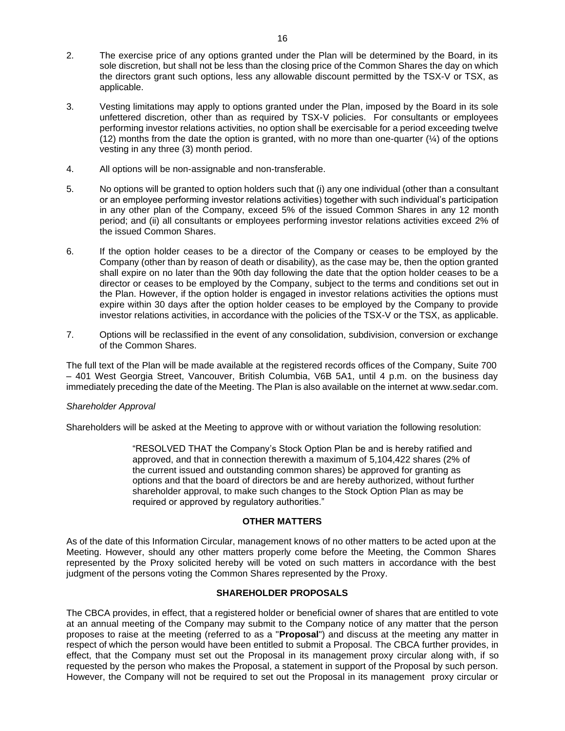- 2. The exercise price of any options granted under the Plan will be determined by the Board, in its sole discretion, but shall not be less than the closing price of the Common Shares the day on which the directors grant such options, less any allowable discount permitted by the TSX-V or TSX, as applicable.
- 3. Vesting limitations may apply to options granted under the Plan, imposed by the Board in its sole unfettered discretion, other than as required by TSX-V policies. For consultants or employees performing investor relations activities, no option shall be exercisable for a period exceeding twelve (12) months from the date the option is granted, with no more than one-quarter  $(\frac{1}{4})$  of the options vesting in any three (3) month period.
- 4. All options will be non-assignable and non-transferable.
- 5. No options will be granted to option holders such that (i) any one individual (other than a consultant or an employee performing investor relations activities) together with such individual's participation in any other plan of the Company, exceed 5% of the issued Common Shares in any 12 month period; and (ii) all consultants or employees performing investor relations activities exceed 2% of the issued Common Shares.
- 6. If the option holder ceases to be a director of the Company or ceases to be employed by the Company (other than by reason of death or disability), as the case may be, then the option granted shall expire on no later than the 90th day following the date that the option holder ceases to be a director or ceases to be employed by the Company, subject to the terms and conditions set out in the Plan. However, if the option holder is engaged in investor relations activities the options must expire within 30 days after the option holder ceases to be employed by the Company to provide investor relations activities, in accordance with the policies of the TSX-V or the TSX, as applicable.
- 7. Options will be reclassified in the event of any consolidation, subdivision, conversion or exchange of the Common Shares.

The full text of the Plan will be made available at the registered records offices of the Company, Suite 700 – 401 West Georgia Street, Vancouver, British Columbia, V6B 5A1, until 4 p.m. on the business day immediately preceding the date of the Meeting. The Plan is also available on the internet at [www.sedar.com.](http://www.sedar.com/)

## *Shareholder Approval*

Shareholders will be asked at the Meeting to approve with or without variation the following resolution:

"RESOLVED THAT the Company's Stock Option Plan be and is hereby ratified and approved, and that in connection therewith a maximum of 5,104,422 shares (2% of the current issued and outstanding common shares) be approved for granting as options and that the board of directors be and are hereby authorized, without further shareholder approval, to make such changes to the Stock Option Plan as may be required or approved by regulatory authorities."

## **OTHER MATTERS**

As of the date of this Information Circular, management knows of no other matters to be acted upon at the Meeting. However, should any other matters properly come before the Meeting, the Common Shares represented by the Proxy solicited hereby will be voted on such matters in accordance with the best judgment of the persons voting the Common Shares represented by the Proxy.

## **SHAREHOLDER PROPOSALS**

The CBCA provides, in effect, that a registered holder or beneficial owner of shares that are entitled to vote at an annual meeting of the Company may submit to the Company notice of any matter that the person proposes to raise at the meeting (referred to as a "**Proposal**") and discuss at the meeting any matter in respect of which the person would have been entitled to submit a Proposal. The CBCA further provides, in effect, that the Company must set out the Proposal in its management proxy circular along with, if so requested by the person who makes the Proposal, a statement in support of the Proposal by such person. However, the Company will not be required to set out the Proposal in its management proxy circular or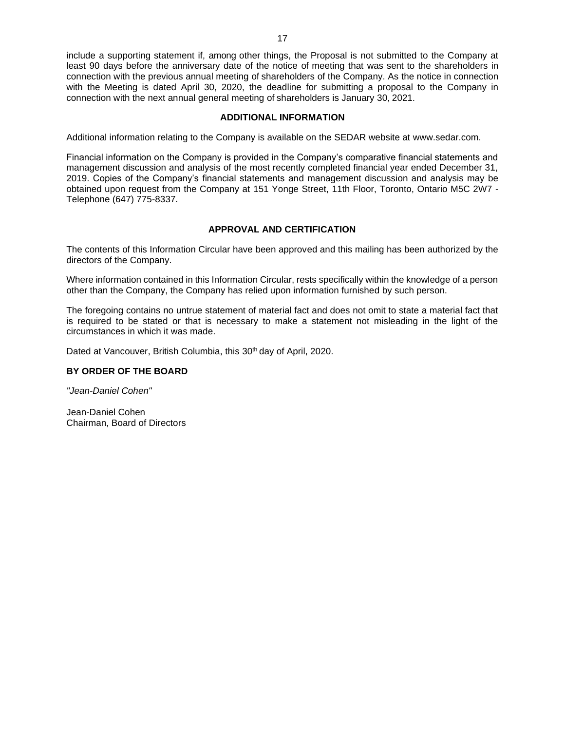include a supporting statement if, among other things, the Proposal is not submitted to the Company at least 90 days before the anniversary date of the notice of meeting that was sent to the shareholders in connection with the previous annual meeting of shareholders of the Company. As the notice in connection with the Meeting is dated April 30, 2020, the deadline for submitting a proposal to the Company in connection with the next annual general meeting of shareholders is January 30, 2021.

## **ADDITIONAL INFORMATION**

Additional information relating to the Company is available on the SEDAR website at [www.sedar.com.](http://www.sedar.com/)

Financial information on the Company is provided in the Company's comparative financial statements and management discussion and analysis of the most recently completed financial year ended December 31, 2019. Copies of the Company's financial statements and management discussion and analysis may be obtained upon request from the Company at 151 Yonge Street, 11th Floor, Toronto, Ontario M5C 2W7 - Telephone (647) 775-8337.

## **APPROVAL AND CERTIFICATION**

The contents of this Information Circular have been approved and this mailing has been authorized by the directors of the Company.

Where information contained in this Information Circular, rests specifically within the knowledge of a person other than the Company, the Company has relied upon information furnished by such person.

The foregoing contains no untrue statement of material fact and does not omit to state a material fact that is required to be stated or that is necessary to make a statement not misleading in the light of the circumstances in which it was made.

Dated at Vancouver, British Columbia, this 30<sup>th</sup> day of April, 2020.

# **BY ORDER OF THE BOARD**

*"Jean-Daniel Cohen"*

Jean-Daniel Cohen Chairman, Board of Directors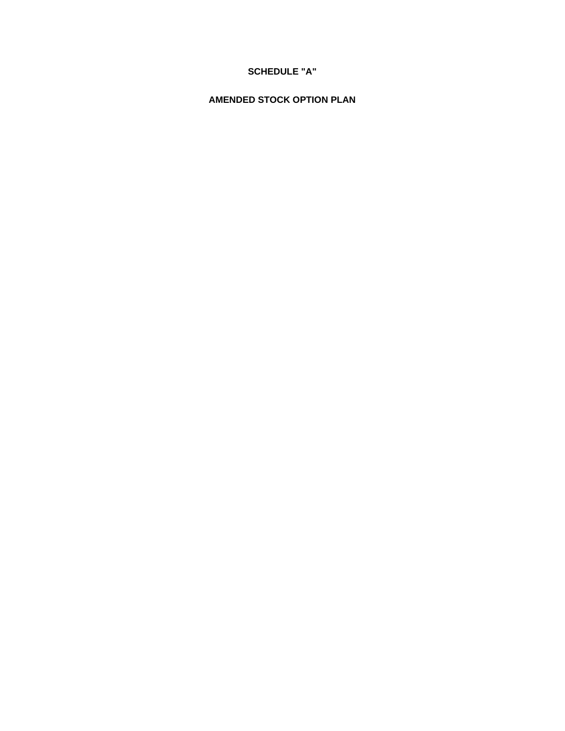# **SCHEDULE "A"**

# **AMENDED STOCK OPTION PLAN**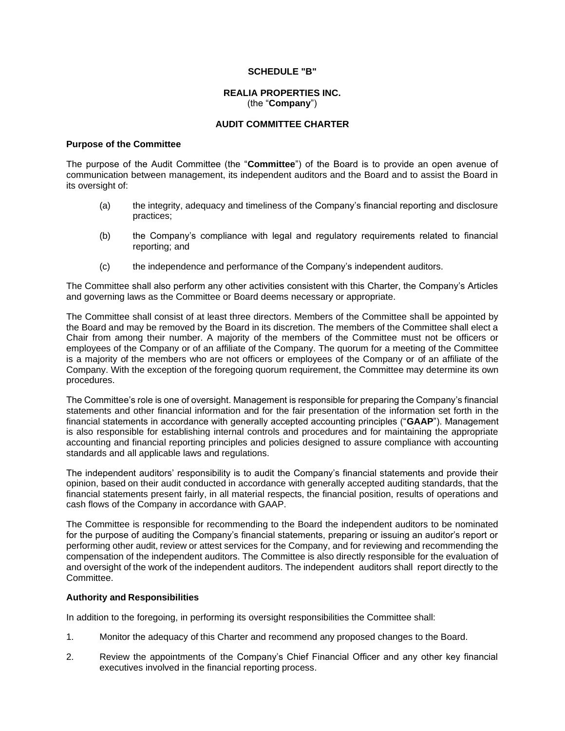#### **SCHEDULE "B"**

#### **REALIA PROPERTIES INC.** (the "**Company**")

#### **AUDIT COMMITTEE CHARTER**

#### **Purpose of the Committee**

The purpose of the Audit Committee (the "**Committee**") of the Board is to provide an open avenue of communication between management, its independent auditors and the Board and to assist the Board in its oversight of:

- (a) the integrity, adequacy and timeliness of the Company's financial reporting and disclosure practices;
- (b) the Company's compliance with legal and regulatory requirements related to financial reporting; and
- (c) the independence and performance of the Company's independent auditors.

The Committee shall also perform any other activities consistent with this Charter, the Company's Articles and governing laws as the Committee or Board deems necessary or appropriate.

The Committee shall consist of at least three directors. Members of the Committee shall be appointed by the Board and may be removed by the Board in its discretion. The members of the Committee shall elect a Chair from among their number. A majority of the members of the Committee must not be officers or employees of the Company or of an affiliate of the Company. The quorum for a meeting of the Committee is a majority of the members who are not officers or employees of the Company or of an affiliate of the Company. With the exception of the foregoing quorum requirement, the Committee may determine its own procedures.

The Committee's role is one of oversight. Management is responsible for preparing the Company's financial statements and other financial information and for the fair presentation of the information set forth in the financial statements in accordance with generally accepted accounting principles ("**GAAP**"). Management is also responsible for establishing internal controls and procedures and for maintaining the appropriate accounting and financial reporting principles and policies designed to assure compliance with accounting standards and all applicable laws and regulations.

The independent auditors' responsibility is to audit the Company's financial statements and provide their opinion, based on their audit conducted in accordance with generally accepted auditing standards, that the financial statements present fairly, in all material respects, the financial position, results of operations and cash flows of the Company in accordance with GAAP.

The Committee is responsible for recommending to the Board the independent auditors to be nominated for the purpose of auditing the Company's financial statements, preparing or issuing an auditor's report or performing other audit, review or attest services for the Company, and for reviewing and recommending the compensation of the independent auditors. The Committee is also directly responsible for the evaluation of and oversight of the work of the independent auditors. The independent auditors shall report directly to the Committee.

## **Authority and Responsibilities**

In addition to the foregoing, in performing its oversight responsibilities the Committee shall:

- 1. Monitor the adequacy of this Charter and recommend any proposed changes to the Board.
- 2. Review the appointments of the Company's Chief Financial Officer and any other key financial executives involved in the financial reporting process.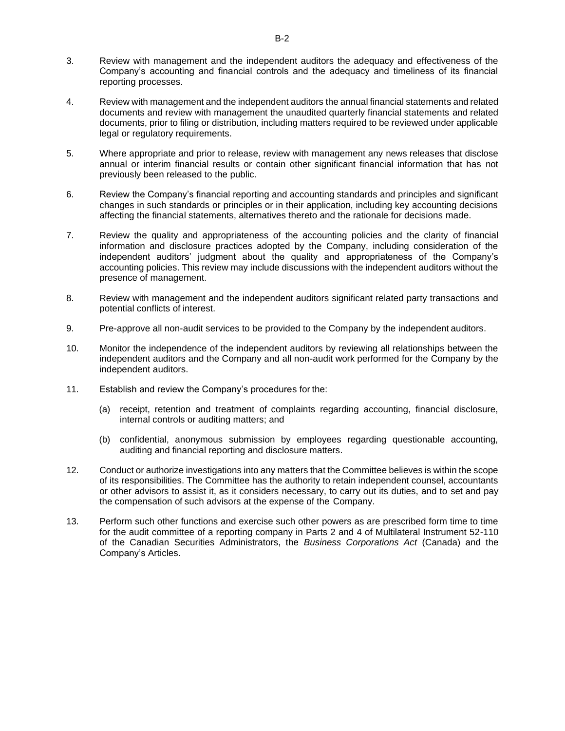- 3. Review with management and the independent auditors the adequacy and effectiveness of the Company's accounting and financial controls and the adequacy and timeliness of its financial reporting processes.
- 4. Review with management and the independent auditors the annual financial statements and related documents and review with management the unaudited quarterly financial statements and related documents, prior to filing or distribution, including matters required to be reviewed under applicable legal or regulatory requirements.
- 5. Where appropriate and prior to release, review with management any news releases that disclose annual or interim financial results or contain other significant financial information that has not previously been released to the public.
- 6. Review the Company's financial reporting and accounting standards and principles and significant changes in such standards or principles or in their application, including key accounting decisions affecting the financial statements, alternatives thereto and the rationale for decisions made.
- 7. Review the quality and appropriateness of the accounting policies and the clarity of financial information and disclosure practices adopted by the Company, including consideration of the independent auditors' judgment about the quality and appropriateness of the Company's accounting policies. This review may include discussions with the independent auditors without the presence of management.
- 8. Review with management and the independent auditors significant related party transactions and potential conflicts of interest.
- 9. Pre-approve all non-audit services to be provided to the Company by the independent auditors.
- 10. Monitor the independence of the independent auditors by reviewing all relationships between the independent auditors and the Company and all non-audit work performed for the Company by the independent auditors.
- 11. Establish and review the Company's procedures for the:
	- (a) receipt, retention and treatment of complaints regarding accounting, financial disclosure, internal controls or auditing matters; and
	- (b) confidential, anonymous submission by employees regarding questionable accounting, auditing and financial reporting and disclosure matters.
- 12. Conduct or authorize investigations into any matters that the Committee believes is within the scope of its responsibilities. The Committee has the authority to retain independent counsel, accountants or other advisors to assist it, as it considers necessary, to carry out its duties, and to set and pay the compensation of such advisors at the expense of the Company.
- 13. Perform such other functions and exercise such other powers as are prescribed form time to time for the audit committee of a reporting company in Parts 2 and 4 of Multilateral Instrument 52-110 of the Canadian Securities Administrators, the *Business Corporations Act* (Canada) and the Company's Articles.